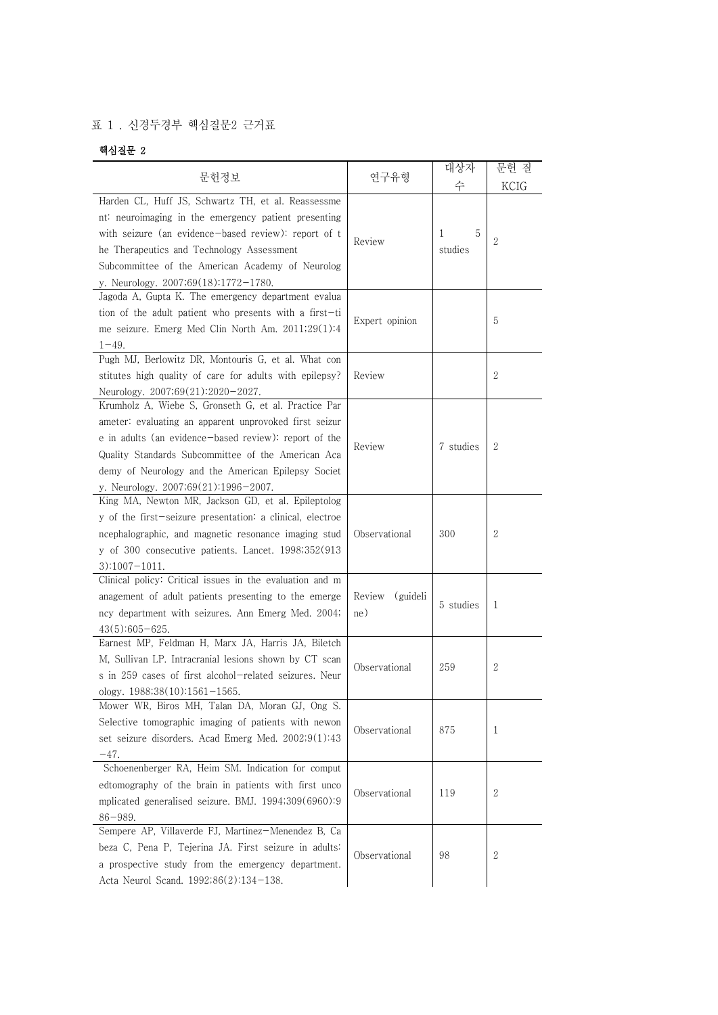## 표 1 . 신경두경부 핵심질문2 근거표

## 핵심질문 2

|                                                                   |                    | 대상자       | 문헌 질             |
|-------------------------------------------------------------------|--------------------|-----------|------------------|
| 문헌정보                                                              | 연구유형               | 수         | KCIG             |
| Harden CL, Huff JS, Schwartz TH, et al. Reassessme                |                    |           |                  |
| nt: neuroimaging in the emergency patient presenting              |                    |           |                  |
| with seizure (an evidence-based review): report of t              |                    | 5<br>1    | 2                |
| he Therapeutics and Technology Assessment                         | Review             | studies   |                  |
| Subcommittee of the American Academy of Neurolog                  |                    |           |                  |
| v. Neurology. $2007,69(18):1772-1780$ .                           |                    |           |                  |
| Jagoda A, Gupta K. The emergency department evalua                |                    |           |                  |
| tion of the adult patient who presents with a first-ti            |                    |           |                  |
| me seizure. Emerg Med Clin North Am. 2011;29(1):4                 | Expert opinion     |           | 5                |
| $1 - 49$ .                                                        |                    |           |                  |
| Pugh MJ, Berlowitz DR, Montouris G, et al. What con               |                    |           |                  |
| stitutes high quality of care for adults with epilepsy?           | Review             |           | 2                |
| Neurology. 2007;69(21):2020-2027.                                 |                    |           |                  |
| Krumholz A, Wiebe S, Gronseth G, et al. Practice Par              |                    |           |                  |
| ameter: evaluating an apparent unprovoked first seizur            |                    |           |                  |
| e in adults (an evidence-based review): report of the             | Review             | 7 studies | 2                |
| Quality Standards Subcommittee of the American Aca                |                    |           |                  |
| demy of Neurology and the American Epilepsy Societ                |                    |           |                  |
| y. Neurology. 2007;69(21):1996-2007.                              |                    |           |                  |
| King MA, Newton MR, Jackson GD, et al. Epileptolog                |                    |           |                  |
| y of the first-seizure presentation: a clinical, electroe         |                    |           |                  |
| ncephalographic, and magnetic resonance imaging stud              | Observational      | 300       | 2                |
| y of 300 consecutive patients. Lancet. 1998;352(913)              |                    |           |                  |
| $3):1007-1011.$                                                   |                    |           |                  |
| Clinical policy: Critical issues in the evaluation and m          |                    |           |                  |
| anagement of adult patients presenting to the emerge              | (guideli<br>Review | 5 studies | 1                |
| ncy department with seizures. Ann Emerg Med. 2004;                | ne)                |           |                  |
| $43(5):605-625.$                                                  |                    |           |                  |
| Earnest MP, Feldman H, Marx JA, Harris JA, Biletch                |                    |           |                  |
| M, Sullivan LP. Intracranial lesions shown by CT scan             | Observational      | 259       | 2                |
| s in 259 cases of first alcohol-related seizures. Neur            |                    |           |                  |
| ology. $1988;38(10):1561-1565$ .                                  |                    |           |                  |
| Mower WR, Biros MH, Talan DA, Moran GJ, Ong S.                    |                    |           |                  |
| Selective tomographic imaging of patients with newon              | Observational      | 875       | 1                |
| set seizure disorders. Acad Emerg Med. 2002;9(1):43               |                    |           |                  |
| $-47.$                                                            |                    |           |                  |
| Schoenenberger RA, Heim SM. Indication for comput                 |                    |           |                  |
| edtomography of the brain in patients with first unco             | Observational      | 119       | $\mathbf{2}$     |
| mplicated generalised seizure. BMJ. 1994;309(6960):9              |                    |           |                  |
| $86 - 989.$<br>Sempere AP, Villaverde FJ, Martinez-Menendez B, Ca |                    |           |                  |
|                                                                   |                    |           |                  |
| beza C, Pena P, Tejerina JA. First seizure in adults:             | Observational      | 98        | $\boldsymbol{2}$ |
| a prospective study from the emergency department.                |                    |           |                  |
| Acta Neurol Scand. 1992;86(2):134-138.                            |                    |           |                  |